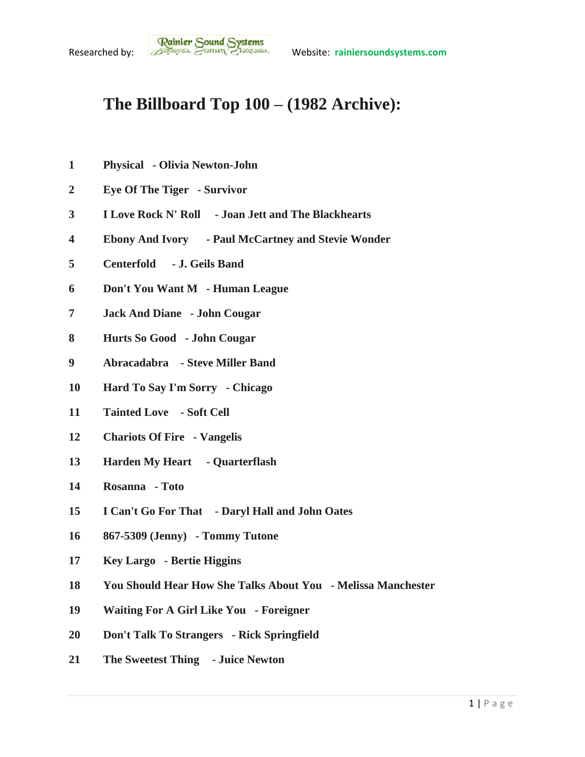## **The Billboard Top 100 – (1982 Archive):**

- **Physical - Olivia Newton-John**
- **Eye Of The Tiger - Survivor**
- **I Love Rock N' Roll - Joan Jett and The Blackhearts**
- **Ebony And Ivory - Paul McCartney and Stevie Wonder**
- **Centerfold - J. Geils Band**
- **Don't You Want M - Human League**
- **Jack And Diane - John Cougar**
- **Hurts So Good - John Cougar**
- **Abracadabra - Steve Miller Band**
- **Hard To Say I'm Sorry - Chicago**
- **Tainted Love - Soft Cell**
- **Chariots Of Fire - Vangelis**
- **Harden My Heart - Quarterflash**
- **Rosanna - Toto**
- **I Can't Go For That - Daryl Hall and John Oates**
- **867-5309 (Jenny) - Tommy Tutone**
- **Key Largo - Bertie Higgins**
- **You Should Hear How She Talks About You - Melissa Manchester**
- **Waiting For A Girl Like You - Foreigner**
- **Don't Talk To Strangers - Rick Springfield**
- **The Sweetest Thing - Juice Newton**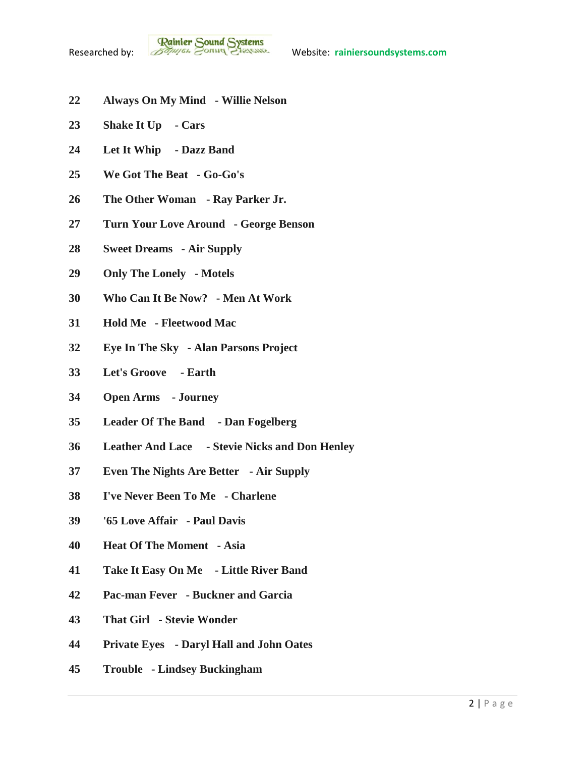- **Always On My Mind - Willie Nelson**
- **Shake It Up - Cars**
- **Let It Whip - Dazz Band**
- **We Got The Beat - Go-Go's**
- **The Other Woman - Ray Parker Jr.**
- **Turn Your Love Around - George Benson**
- **Sweet Dreams - Air Supply**
- **Only The Lonely - Motels**
- **Who Can It Be Now? - Men At Work**
- **Hold Me - Fleetwood Mac**
- **Eye In The Sky - Alan Parsons Project**
- **Let's Groove - Earth**
- **Open Arms - Journey**
- **Leader Of The Band - Dan Fogelberg**
- **Leather And Lace - Stevie Nicks and Don Henley**
- **Even The Nights Are Better - Air Supply**
- **I've Never Been To Me - Charlene**
- **'65 Love Affair - Paul Davis**
- **Heat Of The Moment - Asia**
- **Take It Easy On Me - Little River Band**
- **Pac-man Fever - Buckner and Garcia**
- **That Girl - Stevie Wonder**
- **Private Eyes - Daryl Hall and John Oates**
- **Trouble - Lindsey Buckingham**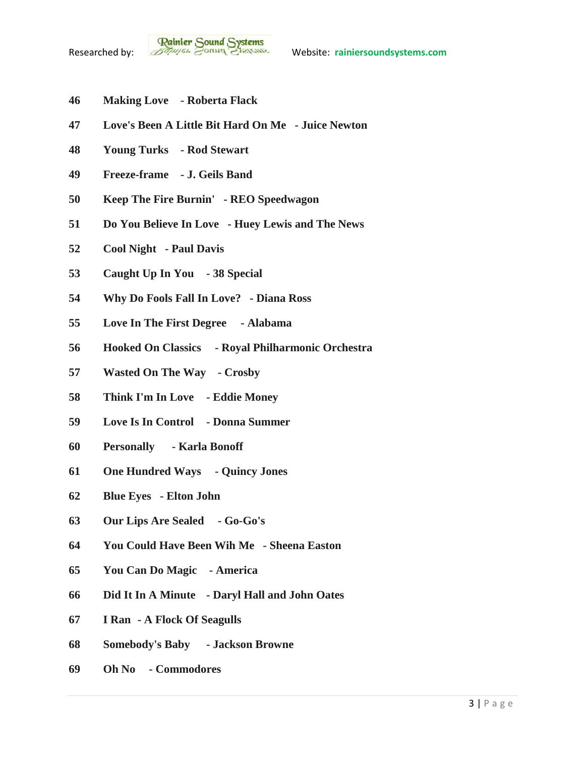- **Making Love - Roberta Flack**
- **Love's Been A Little Bit Hard On Me - Juice Newton**
- **Young Turks - Rod Stewart**
- **Freeze-frame - J. Geils Band**
- **Keep The Fire Burnin' - REO Speedwagon**
- **Do You Believe In Love - Huey Lewis and The News**
- **Cool Night - Paul Davis**
- **Caught Up In You - 38 Special**
- **Why Do Fools Fall In Love? - Diana Ross**
- **Love In The First Degree - Alabama**
- **Hooked On Classics - Royal Philharmonic Orchestra**
- **Wasted On The Way - Crosby**
- **Think I'm In Love - Eddie Money**
- **Love Is In Control - Donna Summer**
- **Personally - Karla Bonoff**
- **One Hundred Ways - Quincy Jones**
- **Blue Eyes - Elton John**
- **Our Lips Are Sealed - Go-Go's**
- **You Could Have Been Wih Me - Sheena Easton**
- **You Can Do Magic - America**
- **Did It In A Minute - Daryl Hall and John Oates**
- **I Ran - A Flock Of Seagulls**
- **Somebody's Baby - Jackson Browne**
- **Oh No - Commodores**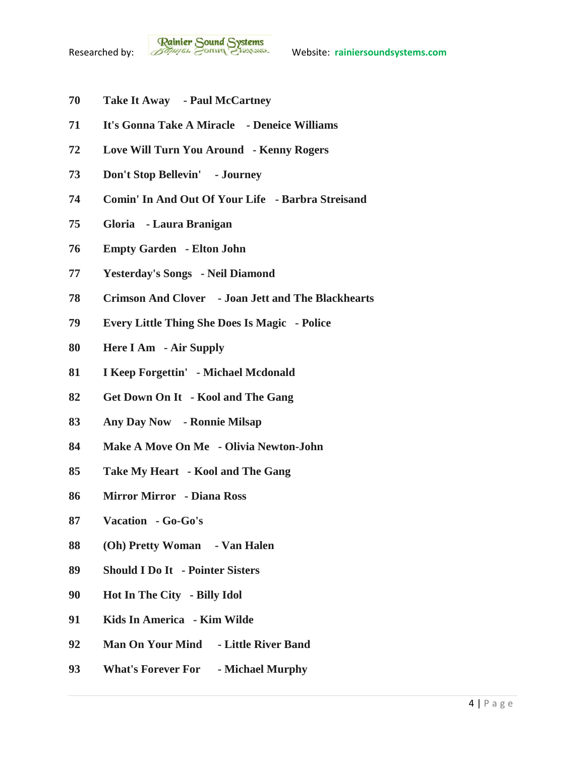

- **Take It Away - Paul McCartney**
- **It's Gonna Take A Miracle - Deneice Williams**
- **Love Will Turn You Around - Kenny Rogers**
- **Don't Stop Bellevin' - Journey**
- **Comin' In And Out Of Your Life - Barbra Streisand**
- **Gloria - Laura Branigan**
- **Empty Garden - Elton John**
- **Yesterday's Songs - Neil Diamond**
- **Crimson And Clover - Joan Jett and The Blackhearts**
- **Every Little Thing She Does Is Magic - Police**
- **Here I Am - Air Supply**
- **I Keep Forgettin' - Michael Mcdonald**
- **Get Down On It - Kool and The Gang**
- **Any Day Now - Ronnie Milsap**
- **Make A Move On Me - Olivia Newton-John**
- **Take My Heart - Kool and The Gang**
- **Mirror Mirror - Diana Ross**
- **Vacation - Go-Go's**
- **(Oh) Pretty Woman - Van Halen**
- **Should I Do It - Pointer Sisters**
- **Hot In The City - Billy Idol**
- **Kids In America - Kim Wilde**
- **Man On Your Mind - Little River Band**
- **What's Forever For - Michael Murphy**